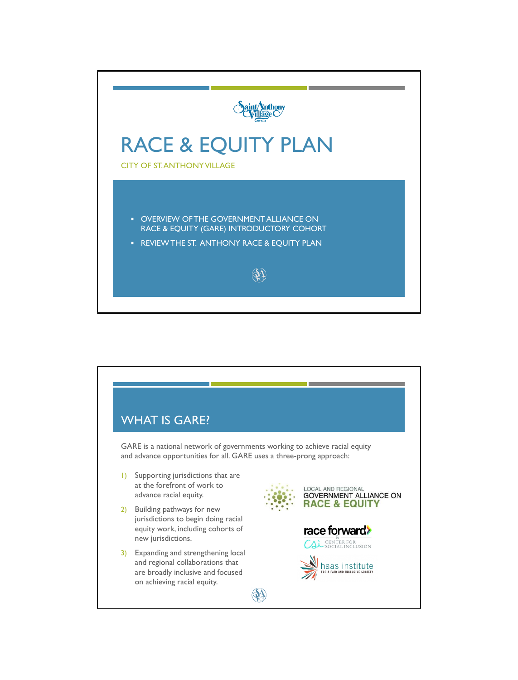

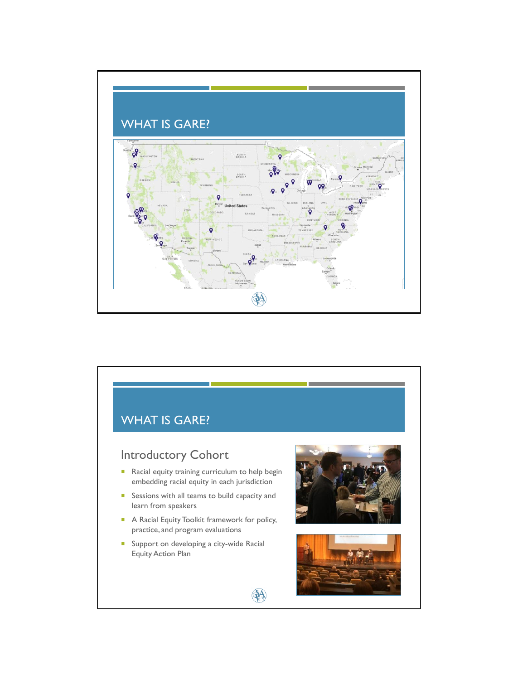

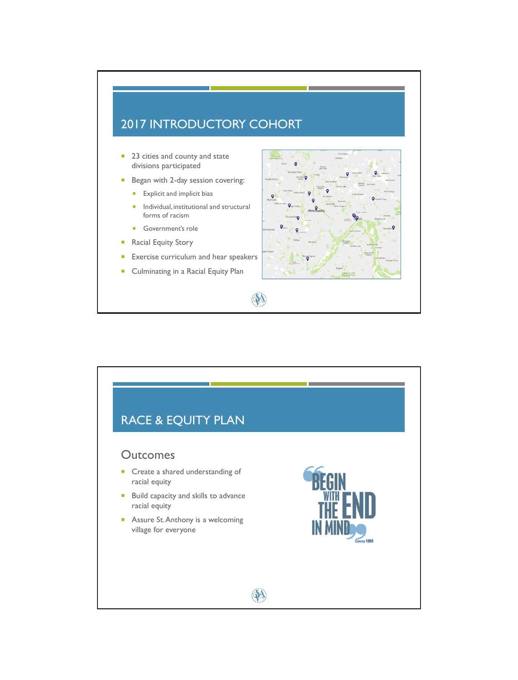## 2017 INTRODUCTORY COHORT

- 23 cities and county and state divisions participated
- Began with 2-day session covering:
	- **Explicit and implicit bias**
	- $\blacksquare$  Individual, institutional and structural forms of racism
	- Government's role
- **Racial Equity Story**
- **Exercise curriculum and hear speakers**
- **Culminating in a Racial Equity Plan**





A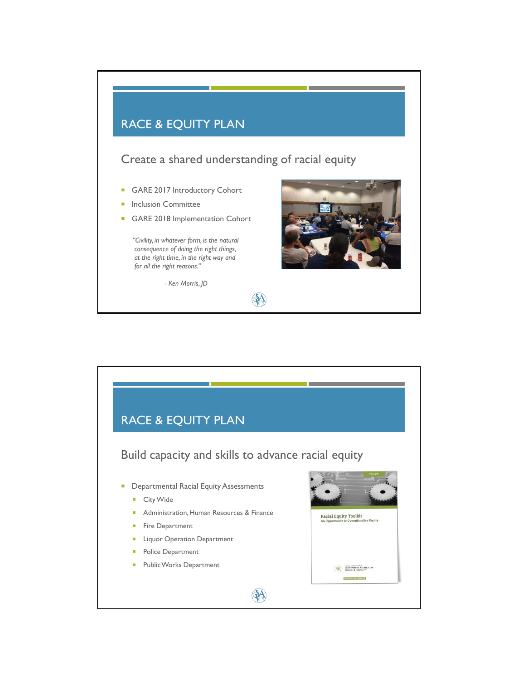## RACE & EQUITY PLAN

Create a shared understanding of racial equity

A

A

- GARE 2017 Introductory Cohort
- Inclusion Committee
- GARE 2018 Implementation Cohort

*"Civility, in whatever form, is the natural consequence of doing the right things, at the right time, in the right way and for all the right reasons."*

*- Ken Morris, JD*





- **Departmental Racial Equity Assessments** 
	- City Wide
	- **Administration, Human Resources & Finance**
	- **Fire Department**
	- **Liquor Operation Department**
	- **Police Department**
	- **Public Works Department**